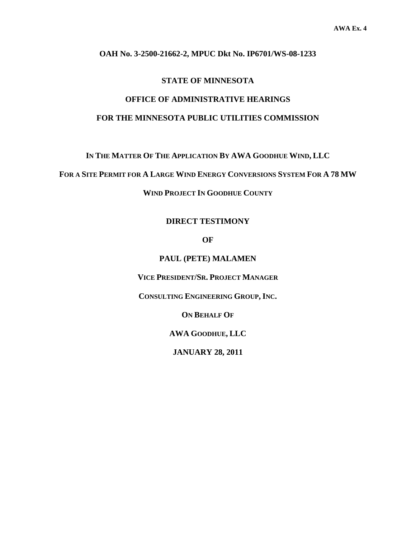#### **OAH No. 3-2500-21662-2, MPUC Dkt No. IP6701/WS-08-1233**

#### **STATE OF MINNESOTA**

# **OFFICE OF ADMINISTRATIVE HEARINGS**

### **FOR THE MINNESOTA PUBLIC UTILITIES COMMISSION**

**IN THE MATTER OF THE APPLICATION BY AWA GOODHUE WIND, LLC** 

**FOR A SITE PERMIT FOR A LARGE WIND ENERGY CONVERSIONS SYSTEM FOR A 78 MW**

**WIND PROJECT IN GOODHUE COUNTY** 

#### **DIRECT TESTIMONY**

**OF** 

**PAUL (PETE) MALAMEN** 

**VICE PRESIDENT/SR. PROJECT MANAGER**

**CONSULTING ENGINEERING GROUP, INC.** 

**ON BEHALF OF**

**AWA GOODHUE, LLC** 

**JANUARY 28, 2011**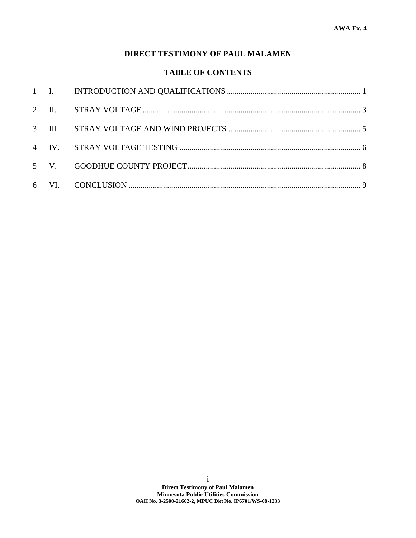## **DIRECT TESTIMONY OF PAUL MALAMEN**

### **TABLE OF CONTENTS**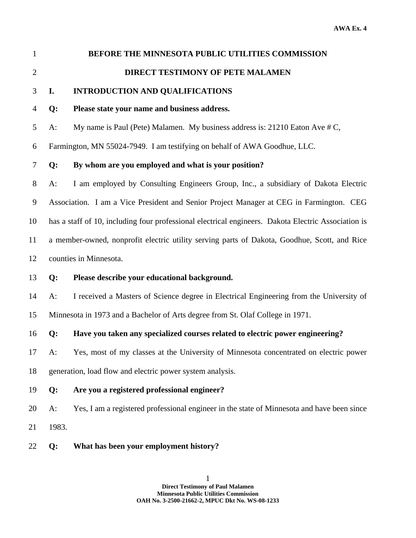| $\mathbf{1}$   | BEFORE THE MINNESOTA PUBLIC UTILITIES COMMISSION                                                    |                                                                                            |  |
|----------------|-----------------------------------------------------------------------------------------------------|--------------------------------------------------------------------------------------------|--|
| $\overline{2}$ |                                                                                                     | DIRECT TESTIMONY OF PETE MALAMEN                                                           |  |
| 3              | I.                                                                                                  | <b>INTRODUCTION AND QUALIFICATIONS</b>                                                     |  |
| $\overline{4}$ | Q:                                                                                                  | Please state your name and business address.                                               |  |
| 5              | $A$ :                                                                                               | My name is Paul (Pete) Malamen. My business address is: 21210 Eaton Ave # C,               |  |
| 6              | Farmington, MN 55024-7949. I am testifying on behalf of AWA Goodhue, LLC.                           |                                                                                            |  |
| 7              | Q:                                                                                                  | By whom are you employed and what is your position?                                        |  |
| $8\,$          | $A$ :                                                                                               | I am employed by Consulting Engineers Group, Inc., a subsidiary of Dakota Electric         |  |
| 9              |                                                                                                     | Association. I am a Vice President and Senior Project Manager at CEG in Farmington. CEG    |  |
| 10             | has a staff of 10, including four professional electrical engineers. Dakota Electric Association is |                                                                                            |  |
| 11             | a member-owned, nonprofit electric utility serving parts of Dakota, Goodhue, Scott, and Rice        |                                                                                            |  |
| 12             | counties in Minnesota.                                                                              |                                                                                            |  |
| 13             | Q:                                                                                                  | Please describe your educational background.                                               |  |
| 14             | A:                                                                                                  | I received a Masters of Science degree in Electrical Engineering from the University of    |  |
| 15             | Minnesota in 1973 and a Bachelor of Arts degree from St. Olaf College in 1971.                      |                                                                                            |  |
| 16             | Q:                                                                                                  | Have you taken any specialized courses related to electric power engineering?              |  |
| 17             | A:                                                                                                  | Yes, most of my classes at the University of Minnesota concentrated on electric power      |  |
| 18             | generation, load flow and electric power system analysis.                                           |                                                                                            |  |
| 19             | Q:                                                                                                  | Are you a registered professional engineer?                                                |  |
| 20             | $A$ :                                                                                               | Yes, I am a registered professional engineer in the state of Minnesota and have been since |  |
| 21             | 1983.                                                                                               |                                                                                            |  |

22 **Q: What has been your employment history?**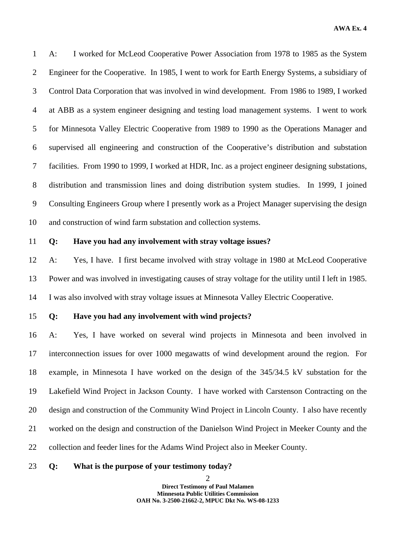**AWA Ex. 4** 

1 A: I worked for McLeod Cooperative Power Association from 1978 to 1985 as the System 2 Engineer for the Cooperative. In 1985, I went to work for Earth Energy Systems, a subsidiary of 3 Control Data Corporation that was involved in wind development. From 1986 to 1989, I worked 4 at ABB as a system engineer designing and testing load management systems. I went to work 5 for Minnesota Valley Electric Cooperative from 1989 to 1990 as the Operations Manager and 6 supervised all engineering and construction of the Cooperative's distribution and substation 7 facilities. From 1990 to 1999, I worked at HDR, Inc. as a project engineer designing substations, 8 distribution and transmission lines and doing distribution system studies. In 1999, I joined 9 Consulting Engineers Group where I presently work as a Project Manager supervising the design 10 and construction of wind farm substation and collection systems.

#### 11 **Q: Have you had any involvement with stray voltage issues?**

12 A: Yes, I have. I first became involved with stray voltage in 1980 at McLeod Cooperative 13 Power and was involved in investigating causes of stray voltage for the utility until I left in 1985. 14 I was also involved with stray voltage issues at Minnesota Valley Electric Cooperative.

# 15 **Q: Have you had any involvement with wind projects?**

16 A: Yes, I have worked on several wind projects in Minnesota and been involved in 17 interconnection issues for over 1000 megawatts of wind development around the region. For 18 example, in Minnesota I have worked on the design of the 345/34.5 kV substation for the 19 Lakefield Wind Project in Jackson County. I have worked with Carstenson Contracting on the 20 design and construction of the Community Wind Project in Lincoln County. I also have recently 21 worked on the design and construction of the Danielson Wind Project in Meeker County and the 22 collection and feeder lines for the Adams Wind Project also in Meeker County.

#### 23 **Q: What is the purpose of your testimony today?**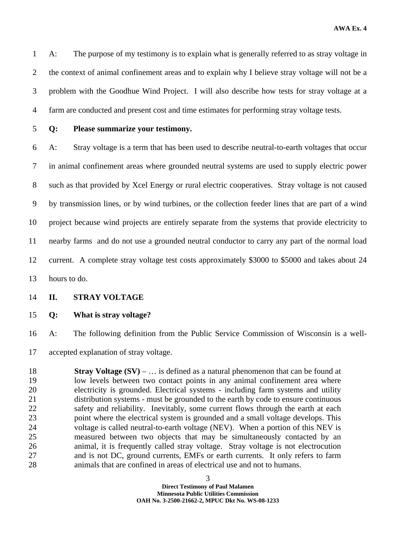**AWA Ex. 4** 

1 A: The purpose of my testimony is to explain what is generally referred to as stray voltage in 2 the context of animal confinement areas and to explain why I believe stray voltage will not be a 3 problem with the Goodhue Wind Project. I will also describe how tests for stray voltage at a 4 farm are conducted and present cost and time estimates for performing stray voltage tests.

### 5 **Q: Please summarize your testimony.**

6 A: Stray voltage is a term that has been used to describe neutral-to-earth voltages that occur 7 in animal confinement areas where grounded neutral systems are used to supply electric power 8 such as that provided by Xcel Energy or rural electric cooperatives. Stray voltage is not caused 9 by transmission lines, or by wind turbines, or the collection feeder lines that are part of a wind 10 project because wind projects are entirely separate from the systems that provide electricity to 11 nearby farms and do not use a grounded neutral conductor to carry any part of the normal load 12 current. A complete stray voltage test costs approximately \$3000 to \$5000 and takes about 24 13 hours to do.

#### 14 **II. STRAY VOLTAGE**

15 **Q: What is stray voltage?** 

16 A: The following definition from the Public Service Commission of Wisconsin is a well-

17 accepted explanation of stray voltage.

18 **Stray Voltage (SV)** – … is defined as a natural phenomenon that can be found at 19 low levels between two contact points in any animal confinement area where 20 electricity is grounded. Electrical systems - including farm systems and utility 21 distribution systems - must be grounded to the earth by code to ensure continuous 22 safety and reliability. Inevitably, some current flows through the earth at each 23 point where the electrical system is grounded and a small voltage develops. This 24 voltage is called neutral-to-earth voltage (NEV). When a portion of this NEV is 25 measured between two objects that may be simultaneously contacted by an 26 animal, it is frequently called stray voltage. Stray voltage is not electrocution 27 and is not DC, ground currents, EMFs or earth currents. It only refers to farm 28 animals that are confined in areas of electrical use and not to humans.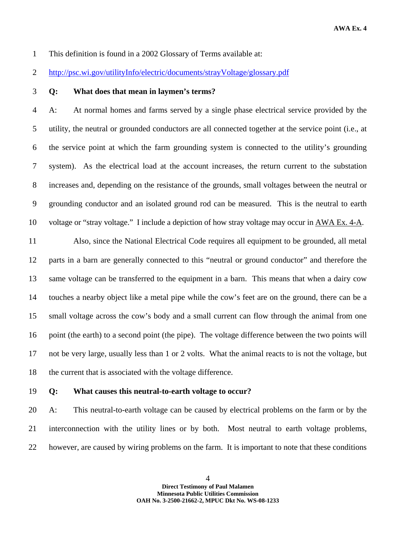1 This definition is found in a 2002 Glossary of Terms available at:

2 http://psc.wi.gov/utilityInfo/electric/documents/strayVoltage/glossary.pdf

3 **Q: What does that mean in laymen's terms?** 

4 A: At normal homes and farms served by a single phase electrical service provided by the 5 utility, the neutral or grounded conductors are all connected together at the service point (i.e., at 6 the service point at which the farm grounding system is connected to the utility's grounding 7 system). As the electrical load at the account increases, the return current to the substation 8 increases and, depending on the resistance of the grounds, small voltages between the neutral or 9 grounding conductor and an isolated ground rod can be measured. This is the neutral to earth 10 voltage or "stray voltage." I include a depiction of how stray voltage may occur in AWA Ex. 4-A.

11 Also, since the National Electrical Code requires all equipment to be grounded, all metal 12 parts in a barn are generally connected to this "neutral or ground conductor" and therefore the 13 same voltage can be transferred to the equipment in a barn. This means that when a dairy cow 14 touches a nearby object like a metal pipe while the cow's feet are on the ground, there can be a 15 small voltage across the cow's body and a small current can flow through the animal from one 16 point (the earth) to a second point (the pipe). The voltage difference between the two points will 17 not be very large, usually less than 1 or 2 volts. What the animal reacts to is not the voltage, but 18 the current that is associated with the voltage difference.

#### 19 **Q: What causes this neutral-to-earth voltage to occur?**

20 A: This neutral-to-earth voltage can be caused by electrical problems on the farm or by the 21 interconnection with the utility lines or by both. Most neutral to earth voltage problems, 22 however, are caused by wiring problems on the farm. It is important to note that these conditions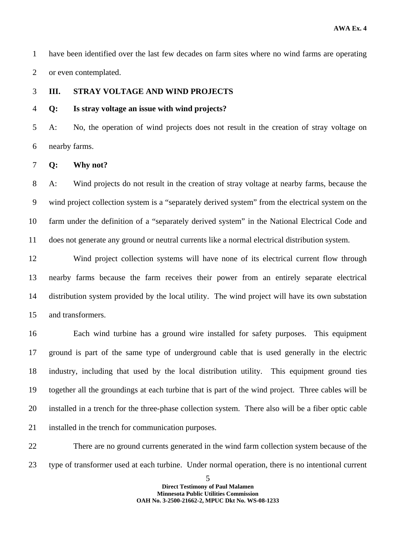1 have been identified over the last few decades on farm sites where no wind farms are operating 2 or even contemplated.

#### 3 **III. STRAY VOLTAGE AND WIND PROJECTS**

#### 4 **Q: Is stray voltage an issue with wind projects?**

5 A: No, the operation of wind projects does not result in the creation of stray voltage on 6 nearby farms.

#### 7 **Q: Why not?**

8 A: Wind projects do not result in the creation of stray voltage at nearby farms, because the 9 wind project collection system is a "separately derived system" from the electrical system on the 10 farm under the definition of a "separately derived system" in the National Electrical Code and 11 does not generate any ground or neutral currents like a normal electrical distribution system.

12 Wind project collection systems will have none of its electrical current flow through 13 nearby farms because the farm receives their power from an entirely separate electrical 14 distribution system provided by the local utility. The wind project will have its own substation 15 and transformers.

16 Each wind turbine has a ground wire installed for safety purposes. This equipment 17 ground is part of the same type of underground cable that is used generally in the electric 18 industry, including that used by the local distribution utility. This equipment ground ties 19 together all the groundings at each turbine that is part of the wind project. Three cables will be 20 installed in a trench for the three-phase collection system. There also will be a fiber optic cable 21 installed in the trench for communication purposes.

22 There are no ground currents generated in the wind farm collection system because of the 23 type of transformer used at each turbine. Under normal operation, there is no intentional current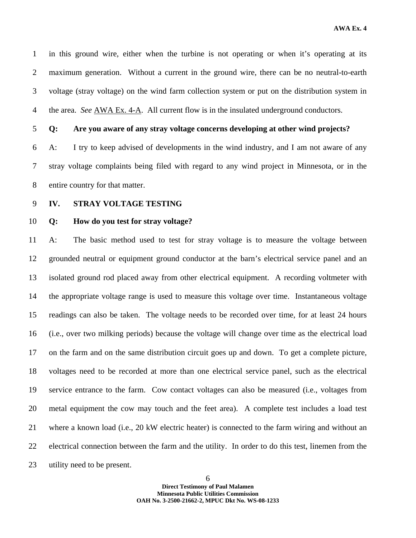**AWA Ex. 4** 

1 in this ground wire, either when the turbine is not operating or when it's operating at its 2 maximum generation. Without a current in the ground wire, there can be no neutral-to-earth 3 voltage (stray voltage) on the wind farm collection system or put on the distribution system in 4 the area. *See* AWA Ex. 4-A. All current flow is in the insulated underground conductors.

5 **Q: Are you aware of any stray voltage concerns developing at other wind projects?** 

6 A: I try to keep advised of developments in the wind industry, and I am not aware of any 7 stray voltage complaints being filed with regard to any wind project in Minnesota, or in the 8 entire country for that matter.

9 **IV. STRAY VOLTAGE TESTING** 

10 **Q: How do you test for stray voltage?** 

11 A: The basic method used to test for stray voltage is to measure the voltage between 12 grounded neutral or equipment ground conductor at the barn's electrical service panel and an 13 isolated ground rod placed away from other electrical equipment. A recording voltmeter with 14 the appropriate voltage range is used to measure this voltage over time. Instantaneous voltage 15 readings can also be taken. The voltage needs to be recorded over time, for at least 24 hours 16 (i.e., over two milking periods) because the voltage will change over time as the electrical load 17 on the farm and on the same distribution circuit goes up and down. To get a complete picture, 18 voltages need to be recorded at more than one electrical service panel, such as the electrical 19 service entrance to the farm. Cow contact voltages can also be measured (i.e., voltages from 20 metal equipment the cow may touch and the feet area). A complete test includes a load test 21 where a known load (i.e., 20 kW electric heater) is connected to the farm wiring and without an 22 electrical connection between the farm and the utility. In order to do this test, linemen from the 23 utility need to be present.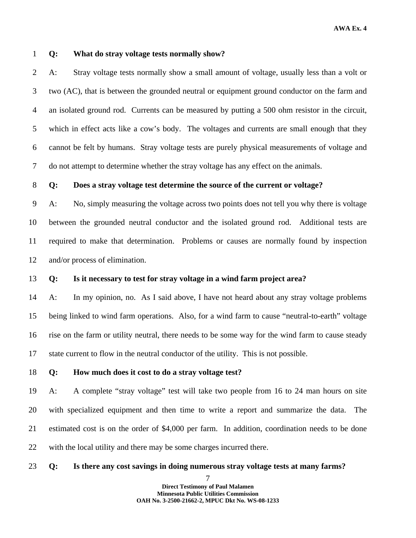#### 1 **Q: What do stray voltage tests normally show?**

2 A: Stray voltage tests normally show a small amount of voltage, usually less than a volt or 3 two (AC), that is between the grounded neutral or equipment ground conductor on the farm and 4 an isolated ground rod. Currents can be measured by putting a 500 ohm resistor in the circuit, 5 which in effect acts like a cow's body. The voltages and currents are small enough that they 6 cannot be felt by humans. Stray voltage tests are purely physical measurements of voltage and 7 do not attempt to determine whether the stray voltage has any effect on the animals.

#### 8 **Q: Does a stray voltage test determine the source of the current or voltage?**

9 A: No, simply measuring the voltage across two points does not tell you why there is voltage 10 between the grounded neutral conductor and the isolated ground rod. Additional tests are 11 required to make that determination. Problems or causes are normally found by inspection 12 and/or process of elimination.

#### 13 **Q: Is it necessary to test for stray voltage in a wind farm project area?**

14 A: In my opinion, no. As I said above, I have not heard about any stray voltage problems 15 being linked to wind farm operations. Also, for a wind farm to cause "neutral-to-earth" voltage 16 rise on the farm or utility neutral, there needs to be some way for the wind farm to cause steady 17 state current to flow in the neutral conductor of the utility. This is not possible.

#### 18 **Q: How much does it cost to do a stray voltage test?**

19 A: A complete "stray voltage" test will take two people from 16 to 24 man hours on site 20 with specialized equipment and then time to write a report and summarize the data. The 21 estimated cost is on the order of \$4,000 per farm. In addition, coordination needs to be done 22 with the local utility and there may be some charges incurred there.

#### 23 **Q: Is there any cost savings in doing numerous stray voltage tests at many farms?**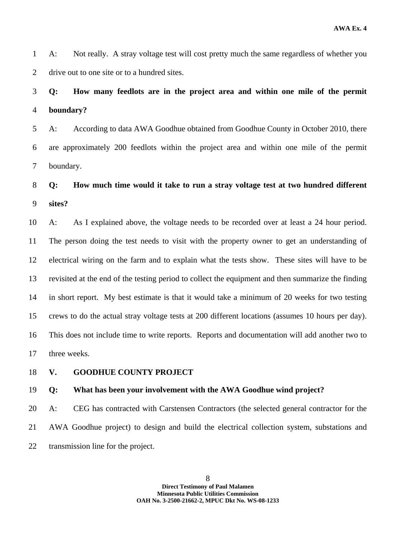1 A: Not really. A stray voltage test will cost pretty much the same regardless of whether you 2 drive out to one site or to a hundred sites.

# 3 **Q: How many feedlots are in the project area and within one mile of the permit**  4 **boundary?**

5 A: According to data AWA Goodhue obtained from Goodhue County in October 2010, there 6 are approximately 200 feedlots within the project area and within one mile of the permit 7 boundary.

8 **Q: How much time would it take to run a stray voltage test at two hundred different**  9 **sites?** 

10 A: As I explained above, the voltage needs to be recorded over at least a 24 hour period. 11 The person doing the test needs to visit with the property owner to get an understanding of 12 electrical wiring on the farm and to explain what the tests show. These sites will have to be 13 revisited at the end of the testing period to collect the equipment and then summarize the finding 14 in short report. My best estimate is that it would take a minimum of 20 weeks for two testing 15 crews to do the actual stray voltage tests at 200 different locations (assumes 10 hours per day). 16 This does not include time to write reports. Reports and documentation will add another two to 17 three weeks.

18 **V. GOODHUE COUNTY PROJECT** 

#### 19 **Q: What has been your involvement with the AWA Goodhue wind project?**

20 A: CEG has contracted with Carstensen Contractors (the selected general contractor for the 21 AWA Goodhue project) to design and build the electrical collection system, substations and 22 transmission line for the project.